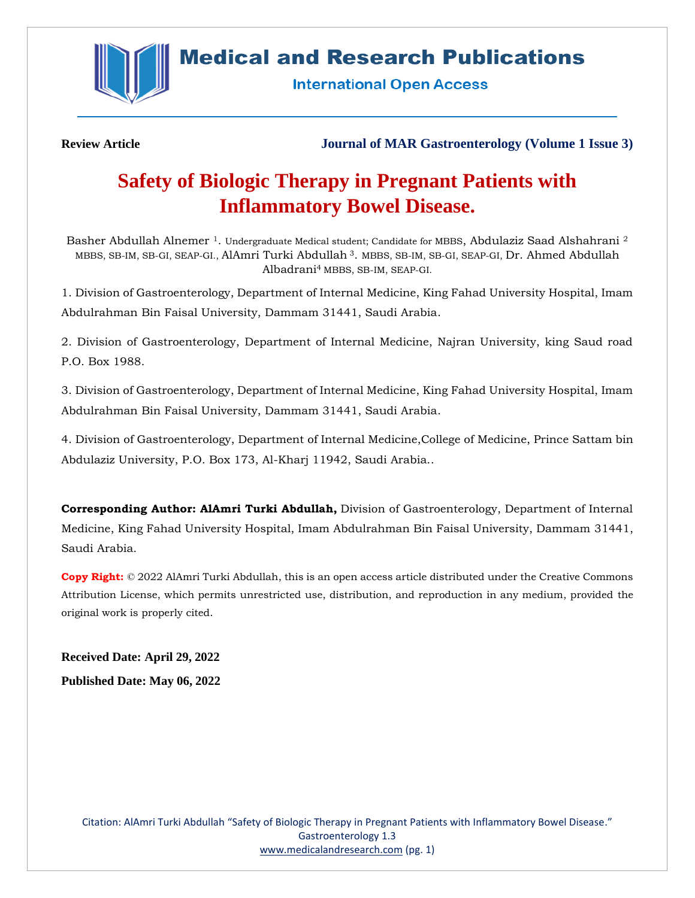

**Medical and Research Publications** 

**International Open Access** 

**Review Article Journal of MAR Gastroenterology (Volume 1 Issue 3)**

# **Safety of Biologic Therapy in Pregnant Patients with Inflammatory Bowel Disease.**

Basher Abdullah Alnemer<sup>1</sup>. Undergraduate Medical student; Candidate for MBBS, Abdulaziz Saad Alshahrani<sup>2</sup> MBBS, SB-IM, SB-GI, SEAP-GI., AlAmri Turki Abdullah <sup>3</sup>. MBBS, SB-IM, SB-GI, SEAP-GI, Dr. Ahmed Abdullah Albadrani<sup>4</sup> MBBS, SB-IM, SEAP-GI.

1. Division of Gastroenterology, Department of Internal Medicine, King Fahad University Hospital, Imam Abdulrahman Bin Faisal University, Dammam 31441, Saudi Arabia.

2. Division of Gastroenterology, Department of Internal Medicine, Najran University, king Saud road P.O. Box 1988.

3. Division of Gastroenterology, Department of Internal Medicine, King Fahad University Hospital, Imam Abdulrahman Bin Faisal University, Dammam 31441, Saudi Arabia.

4. Division of Gastroenterology, Department of Internal Medicine,College of Medicine, Prince Sattam bin Abdulaziz University, P.O. Box 173, Al-Kharj 11942, Saudi Arabia..

**Corresponding Author: AlAmri Turki Abdullah,** Division of Gastroenterology, Department of Internal Medicine, King Fahad University Hospital, Imam Abdulrahman Bin Faisal University, Dammam 31441, Saudi Arabia.

**Copy Right:** © 2022 AlAmri Turki Abdullah, this is an open access article distributed under the Creative Commons Attribution License, which permits unrestricted use, distribution, and reproduction in any medium, provided the original work is properly cited.

**Received Date: April 29, 2022**

**Published Date: May 06, 2022**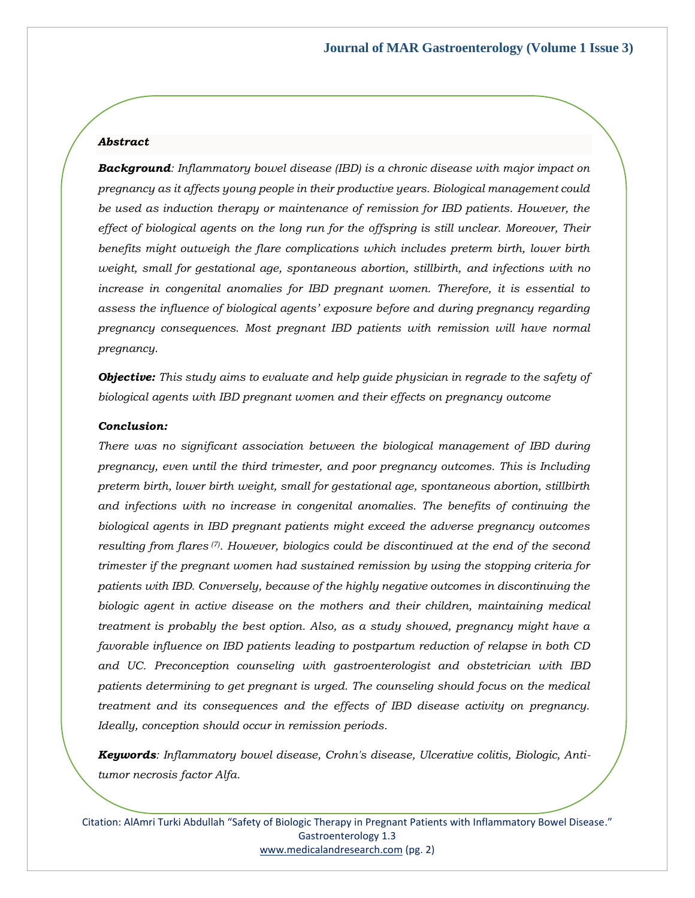# *Abstract*

*Background: Inflammatory bowel disease (IBD) is a chronic disease with major impact on pregnancy as it affects young people in their productive years. Biological management could be used as induction therapy or maintenance of remission for IBD patients. However, the effect of biological agents on the long run for the offspring is still unclear. Moreover, Their benefits might outweigh the flare complications which includes preterm birth, lower birth weight, small for gestational age, spontaneous abortion, stillbirth, and infections with no increase in congenital anomalies for IBD pregnant women. Therefore, it is essential to assess the influence of biological agents' exposure before and during pregnancy regarding pregnancy consequences. Most pregnant IBD patients with remission will have normal pregnancy.* 

*Objective: This study aims to evaluate and help guide physician in regrade to the safety of biological agents with IBD pregnant women and their effects on pregnancy outcome*

#### *Conclusion:*

*There was no significant association between the biological management of IBD during pregnancy, even until the third trimester, and poor pregnancy outcomes. This is Including preterm birth, lower birth weight, small for gestational age, spontaneous abortion, stillbirth and infections with no increase in congenital anomalies. The benefits of continuing the biological agents in IBD pregnant patients might exceed the adverse pregnancy outcomes resulting from flares (7). However, biologics could be discontinued at the end of the second trimester if the pregnant women had sustained remission by using the stopping criteria for patients with IBD. Conversely, because of the highly negative outcomes in discontinuing the biologic agent in active disease on the mothers and their children, maintaining medical treatment is probably the best option. Also, as a study showed, pregnancy might have a favorable influence on IBD patients leading to postpartum reduction of relapse in both CD and UC. Preconception counseling with gastroenterologist and obstetrician with IBD patients determining to get pregnant is urged. The counseling should focus on the medical treatment and its consequences and the effects of IBD disease activity on pregnancy. Ideally, conception should occur in remission periods.* 

*Keywords: Inflammatory bowel disease, Crohn's disease, Ulcerative colitis, Biologic, Antitumor necrosis factor Alfa.*

Citation: AlAmri Turki Abdullah "Safety of Biologic Therapy in Pregnant Patients with Inflammatory Bowel Disease." Gastroenterology 1.3 [www.medicalandresearch.com](http://www.medicalandresearch.com/) (pg. 2)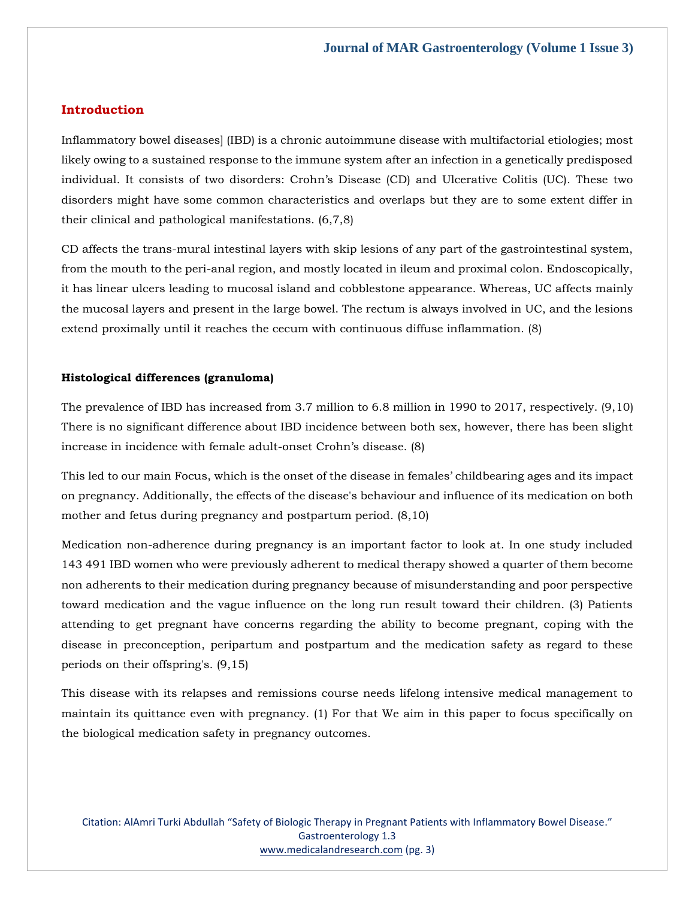# **Introduction**

Inflammatory bowel diseases] (IBD) is a chronic autoimmune disease with multifactorial etiologies; most likely owing to a sustained response to the immune system after an infection in a genetically predisposed individual. It consists of two disorders: Crohn's Disease (CD) and Ulcerative Colitis (UC). These two disorders might have some common characteristics and overlaps but they are to some extent differ in their clinical and pathological manifestations. (6,7,8)

CD affects the trans-mural intestinal layers with skip lesions of any part of the gastrointestinal system, from the mouth to the peri-anal region, and mostly located in ileum and proximal colon. Endoscopically, it has linear ulcers leading to mucosal island and cobblestone appearance. Whereas, UC affects mainly the mucosal layers and present in the large bowel. The rectum is always involved in UC, and the lesions extend proximally until it reaches the cecum with continuous diffuse inflammation. (8)

# **Histological differences (granuloma)**

The prevalence of IBD has increased from 3.7 million to 6.8 million in 1990 to 2017, respectively. (9,10) There is no significant difference about IBD incidence between both sex, however, there has been slight increase in incidence with female adult-onset Crohn's disease. (8)

This led to our main Focus, which is the onset of the disease in females' childbearing ages and its impact on pregnancy. Additionally, the effects of the disease's behaviour and influence of its medication on both mother and fetus during pregnancy and postpartum period. (8,10)

Medication non-adherence during pregnancy is an important factor to look at. In one study included 143 491 IBD women who were previously adherent to medical therapy showed a quarter of them become non adherents to their medication during pregnancy because of misunderstanding and poor perspective toward medication and the vague influence on the long run result toward their children. (3) Patients attending to get pregnant have concerns regarding the ability to become pregnant, coping with the disease in preconception, peripartum and postpartum and the medication safety as regard to these periods on their offspring's. (9,15)

This disease with its relapses and remissions course needs lifelong intensive medical management to maintain its quittance even with pregnancy. (1) For that We aim in this paper to focus specifically on the biological medication safety in pregnancy outcomes.

Citation: AlAmri Turki Abdullah "Safety of Biologic Therapy in Pregnant Patients with Inflammatory Bowel Disease." Gastroenterology 1.3 [www.medicalandresearch.com](http://www.medicalandresearch.com/) (pg. 3)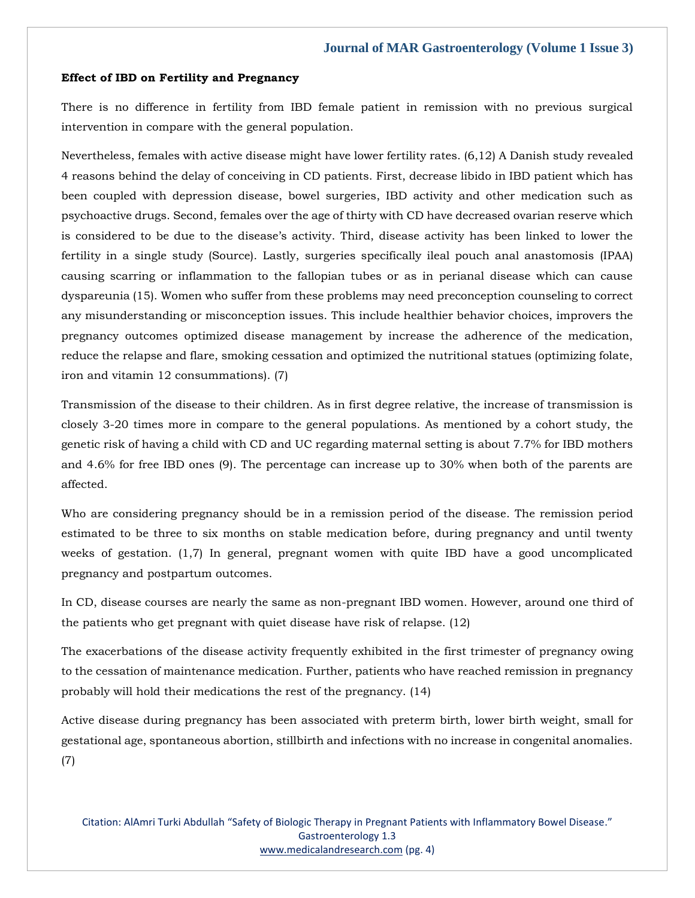#### **Effect of IBD on Fertility and Pregnancy**

There is no difference in fertility from IBD female patient in remission with no previous surgical intervention in compare with the general population.

Nevertheless, females with active disease might have lower fertility rates. (6,12) A Danish study revealed 4 reasons behind the delay of conceiving in CD patients. First, decrease libido in IBD patient which has been coupled with depression disease, bowel surgeries, IBD activity and other medication such as psychoactive drugs. Second, females over the age of thirty with CD have decreased ovarian reserve which is considered to be due to the disease's activity. Third, disease activity has been linked to lower the fertility in a single study (Source). Lastly, surgeries specifically ileal pouch anal anastomosis (IPAA) causing scarring or inflammation to the fallopian tubes or as in perianal disease which can cause dyspareunia (15). Women who suffer from these problems may need preconception counseling to correct any misunderstanding or misconception issues. This include healthier behavior choices, improvers the pregnancy outcomes optimized disease management by increase the adherence of the medication, reduce the relapse and flare, smoking cessation and optimized the nutritional statues (optimizing folate, iron and vitamin 12 consummations). (7)

Transmission of the disease to their children. As in first degree relative, the increase of transmission is closely 3-20 times more in compare to the general populations. As mentioned by a cohort study, the genetic risk of having a child with CD and UC regarding maternal setting is about 7.7% for IBD mothers and 4.6% for free IBD ones (9). The percentage can increase up to 30% when both of the parents are affected.

Who are considering pregnancy should be in a remission period of the disease. The remission period estimated to be three to six months on stable medication before, during pregnancy and until twenty weeks of gestation. (1,7) In general, pregnant women with quite IBD have a good uncomplicated pregnancy and postpartum outcomes.

In CD, disease courses are nearly the same as non-pregnant IBD women. However, around one third of the patients who get pregnant with quiet disease have risk of relapse. (12)

The exacerbations of the disease activity frequently exhibited in the first trimester of pregnancy owing to the cessation of maintenance medication. Further, patients who have reached remission in pregnancy probably will hold their medications the rest of the pregnancy. (14)

Active disease during pregnancy has been associated with preterm birth, lower birth weight, small for gestational age, spontaneous abortion, stillbirth and infections with no increase in congenital anomalies. (7)

Citation: AlAmri Turki Abdullah "Safety of Biologic Therapy in Pregnant Patients with Inflammatory Bowel Disease." Gastroenterology 1.3 [www.medicalandresearch.com](http://www.medicalandresearch.com/) (pg. 4)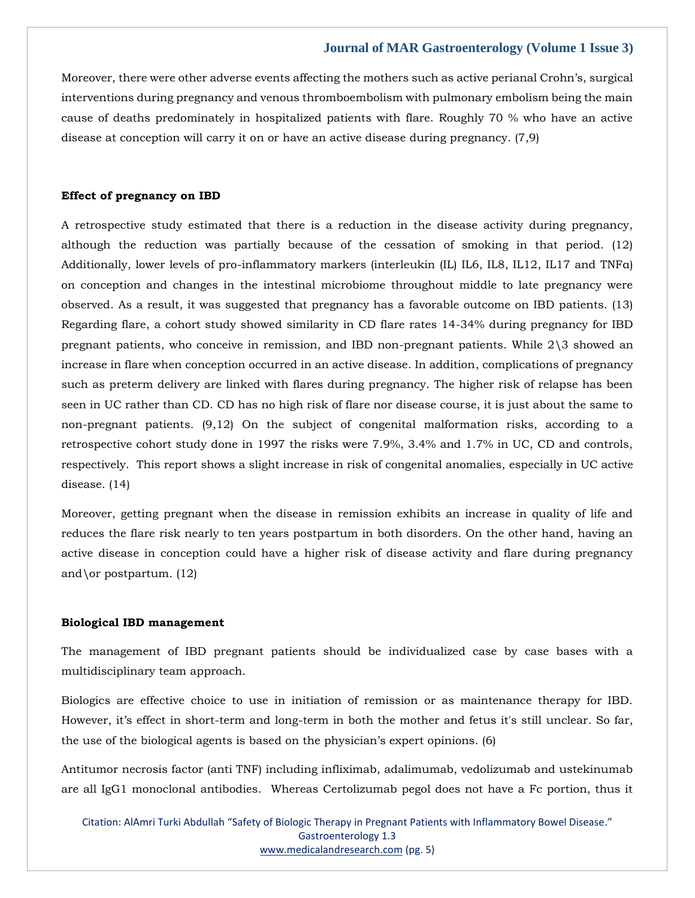Moreover, there were other adverse events affecting the mothers such as active perianal Crohn's, surgical interventions during pregnancy and venous thromboembolism with pulmonary embolism being the main cause of deaths predominately in hospitalized patients with flare. Roughly 70 % who have an active disease at conception will carry it on or have an active disease during pregnancy. (7,9)

## **Effect of pregnancy on IBD**

A retrospective study estimated that there is a reduction in the disease activity during pregnancy, although the reduction was partially because of the cessation of smoking in that period. (12) Additionally, lower levels of pro-inflammatory markers (interleukin (IL) IL6, IL8, IL12, IL17 and TNFa) on conception and changes in the intestinal microbiome throughout middle to late pregnancy were observed. As a result, it was suggested that pregnancy has a favorable outcome on IBD patients. (13) Regarding flare, a cohort study showed similarity in CD flare rates 14-34% during pregnancy for IBD pregnant patients, who conceive in remission, and IBD non-pregnant patients. While 2\3 showed an increase in flare when conception occurred in an active disease. In addition, complications of pregnancy such as preterm delivery are linked with flares during pregnancy. The higher risk of relapse has been seen in UC rather than CD. CD has no high risk of flare nor disease course, it is just about the same to non-pregnant patients. (9,12) On the subject of congenital malformation risks, according to a retrospective cohort study done in 1997 the risks were 7.9%, 3.4% and 1.7% in UC, CD and controls, respectively. This report shows a slight increase in risk of congenital anomalies, especially in UC active disease. (14)

Moreover, getting pregnant when the disease in remission exhibits an increase in quality of life and reduces the flare risk nearly to ten years postpartum in both disorders. On the other hand, having an active disease in conception could have a higher risk of disease activity and flare during pregnancy and \or postpartum.  $(12)$ 

#### **Biological IBD management**

The management of IBD pregnant patients should be individualized case by case bases with a multidisciplinary team approach.

Biologics are effective choice to use in initiation of remission or as maintenance therapy for IBD. However, it's effect in short-term and long-term in both the mother and fetus it's still unclear. So far, the use of the biological agents is based on the physician's expert opinions. (6)

Antitumor necrosis factor (anti TNF) including infliximab, adalimumab, vedolizumab and ustekinumab are all IgG1 monoclonal antibodies. Whereas Certolizumab pegol does not have a Fc portion, thus it

Citation: AlAmri Turki Abdullah "Safety of Biologic Therapy in Pregnant Patients with Inflammatory Bowel Disease." Gastroenterology 1.3 [www.medicalandresearch.com](http://www.medicalandresearch.com/) (pg. 5)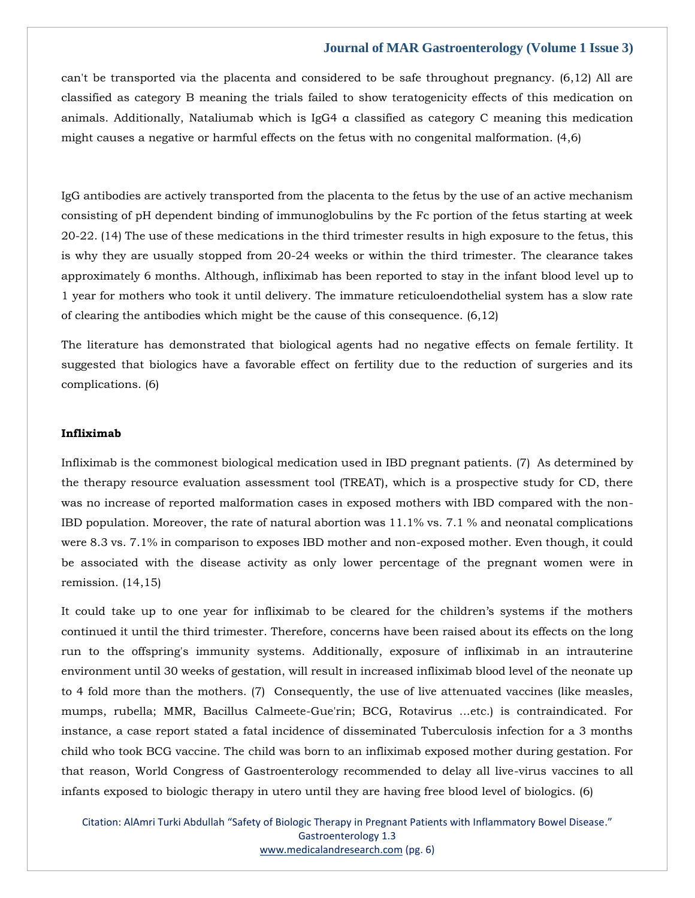can't be transported via the placenta and considered to be safe throughout pregnancy. (6,12) All are classified as category B meaning the trials failed to show teratogenicity effects of this medication on animals. Additionally, Nataliumab which is IgG4 α classified as category C meaning this medication might causes a negative or harmful effects on the fetus with no congenital malformation. (4,6)

IgG antibodies are actively transported from the placenta to the fetus by the use of an active mechanism consisting of pH dependent binding of immunoglobulins by the Fc portion of the fetus starting at week 20-22. (14) The use of these medications in the third trimester results in high exposure to the fetus, this is why they are usually stopped from 20-24 weeks or within the third trimester. The clearance takes approximately 6 months. Although, infliximab has been reported to stay in the infant blood level up to 1 year for mothers who took it until delivery. The immature reticuloendothelial system has a slow rate of clearing the antibodies which might be the cause of this consequence. (6,12)

The literature has demonstrated that biological agents had no negative effects on female fertility. It suggested that biologics have a favorable effect on fertility due to the reduction of surgeries and its complications. (6)

#### **Infliximab**

Infliximab is the commonest biological medication used in IBD pregnant patients. (7) As determined by the therapy resource evaluation assessment tool (TREAT), which is a prospective study for CD, there was no increase of reported malformation cases in exposed mothers with IBD compared with the non-IBD population. Moreover, the rate of natural abortion was 11.1% vs. 7.1 % and neonatal complications were 8.3 vs. 7.1% in comparison to exposes IBD mother and non-exposed mother. Even though, it could be associated with the disease activity as only lower percentage of the pregnant women were in remission. (14,15)

It could take up to one year for infliximab to be cleared for the children's systems if the mothers continued it until the third trimester. Therefore, concerns have been raised about its effects on the long run to the offspring's immunity systems. Additionally, exposure of infliximab in an intrauterine environment until 30 weeks of gestation, will result in increased infliximab blood level of the neonate up to 4 fold more than the mothers. (7) Consequently, the use of live attenuated vaccines (like measles, mumps, rubella; MMR, Bacillus Calmeete-Gue'rin; BCG, Rotavirus ...etc.) is contraindicated. For instance, a case report stated a fatal incidence of disseminated Tuberculosis infection for a 3 months child who took BCG vaccine. The child was born to an infliximab exposed mother during gestation. For that reason, World Congress of Gastroenterology recommended to delay all live-virus vaccines to all infants exposed to biologic therapy in utero until they are having free blood level of biologics. (6)

Citation: AlAmri Turki Abdullah "Safety of Biologic Therapy in Pregnant Patients with Inflammatory Bowel Disease." Gastroenterology 1.3 [www.medicalandresearch.com](http://www.medicalandresearch.com/) (pg. 6)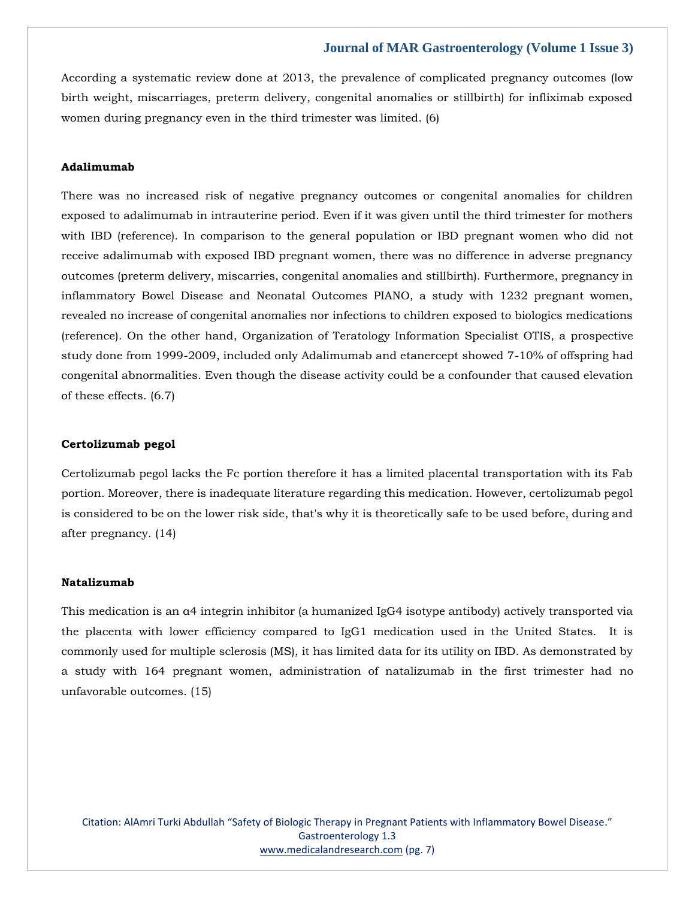According a systematic review done at 2013, the prevalence of complicated pregnancy outcomes (low birth weight, miscarriages, preterm delivery, congenital anomalies or stillbirth) for infliximab exposed women during pregnancy even in the third trimester was limited. (6)

## **Adalimumab**

There was no increased risk of negative pregnancy outcomes or congenital anomalies for children exposed to adalimumab in intrauterine period. Even if it was given until the third trimester for mothers with IBD (reference). In comparison to the general population or IBD pregnant women who did not receive adalimumab with exposed IBD pregnant women, there was no difference in adverse pregnancy outcomes (preterm delivery, miscarries, congenital anomalies and stillbirth). Furthermore, pregnancy in inflammatory Bowel Disease and Neonatal Outcomes PIANO, a study with 1232 pregnant women, revealed no increase of congenital anomalies nor infections to children exposed to biologics medications (reference). On the other hand, Organization of Teratology Information Specialist OTIS, a prospective study done from 1999-2009, included only Adalimumab and etanercept showed 7-10% of offspring had congenital abnormalities. Even though the disease activity could be a confounder that caused elevation of these effects. (6.7)

#### **Certolizumab pegol**

Certolizumab pegol lacks the Fc portion therefore it has a limited placental transportation with its Fab portion. Moreover, there is inadequate literature regarding this medication. However, certolizumab pegol is considered to be on the lower risk side, that's why it is theoretically safe to be used before, during and after pregnancy. (14)

# **Natalizumab**

This medication is an α4 integrin inhibitor (a humanized IgG4 isotype antibody) actively transported via the placenta with lower efficiency compared to IgG1 medication used in the United States. It is commonly used for multiple sclerosis (MS), it has limited data for its utility on IBD. As demonstrated by a study with 164 pregnant women, administration of natalizumab in the first trimester had no unfavorable outcomes. (15)

Citation: AlAmri Turki Abdullah "Safety of Biologic Therapy in Pregnant Patients with Inflammatory Bowel Disease." Gastroenterology 1.3 [www.medicalandresearch.com](http://www.medicalandresearch.com/) (pg. 7)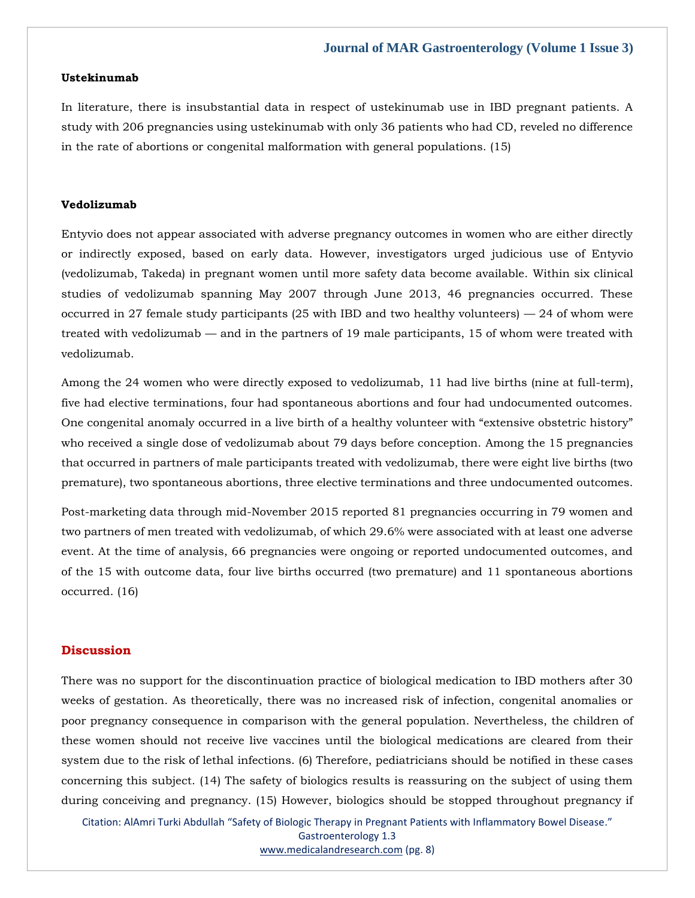#### **Ustekinumab**

In literature, there is insubstantial data in respect of ustekinumab use in IBD pregnant patients. A study with 206 pregnancies using ustekinumab with only 36 patients who had CD, reveled no difference in the rate of abortions or congenital malformation with general populations. (15)

# **Vedolizumab**

Entyvio does not appear associated with adverse pregnancy outcomes in women who are either directly or indirectly exposed, based on early data. However, investigators urged judicious use of Entyvio (vedolizumab, Takeda) in pregnant women until more safety data become available. Within six clinical studies of vedolizumab spanning May 2007 through June 2013, 46 pregnancies occurred. These occurred in 27 female study participants (25 with IBD and two healthy volunteers)  $-24$  of whom were treated with vedolizumab — and in the partners of 19 male participants, 15 of whom were treated with vedolizumab.

Among the 24 women who were directly exposed to vedolizumab, 11 had live births (nine at full-term), five had elective terminations, four had spontaneous abortions and four had undocumented outcomes. One congenital anomaly occurred in a live birth of a healthy volunteer with "extensive obstetric history" who received a single dose of vedolizumab about 79 days before conception. Among the 15 pregnancies that occurred in partners of male participants treated with vedolizumab, there were eight live births (two premature), two spontaneous abortions, three elective terminations and three undocumented outcomes.

Post-marketing data through mid-November 2015 reported 81 pregnancies occurring in 79 women and two partners of men treated with vedolizumab, of which 29.6% were associated with at least one adverse event. At the time of analysis, 66 pregnancies were ongoing or reported undocumented outcomes, and of the 15 with outcome data, four live births occurred (two premature) and 11 spontaneous abortions occurred. (16)

# **Discussion**

There was no support for the discontinuation practice of biological medication to IBD mothers after 30 weeks of gestation. As theoretically, there was no increased risk of infection, congenital anomalies or poor pregnancy consequence in comparison with the general population. Nevertheless, the children of these women should not receive live vaccines until the biological medications are cleared from their system due to the risk of lethal infections. (6) Therefore, pediatricians should be notified in these cases concerning this subject. (14) The safety of biologics results is reassuring on the subject of using them during conceiving and pregnancy. (15) However, biologics should be stopped throughout pregnancy if

Citation: AlAmri Turki Abdullah "Safety of Biologic Therapy in Pregnant Patients with Inflammatory Bowel Disease." Gastroenterology 1.3 [www.medicalandresearch.com](http://www.medicalandresearch.com/) (pg. 8)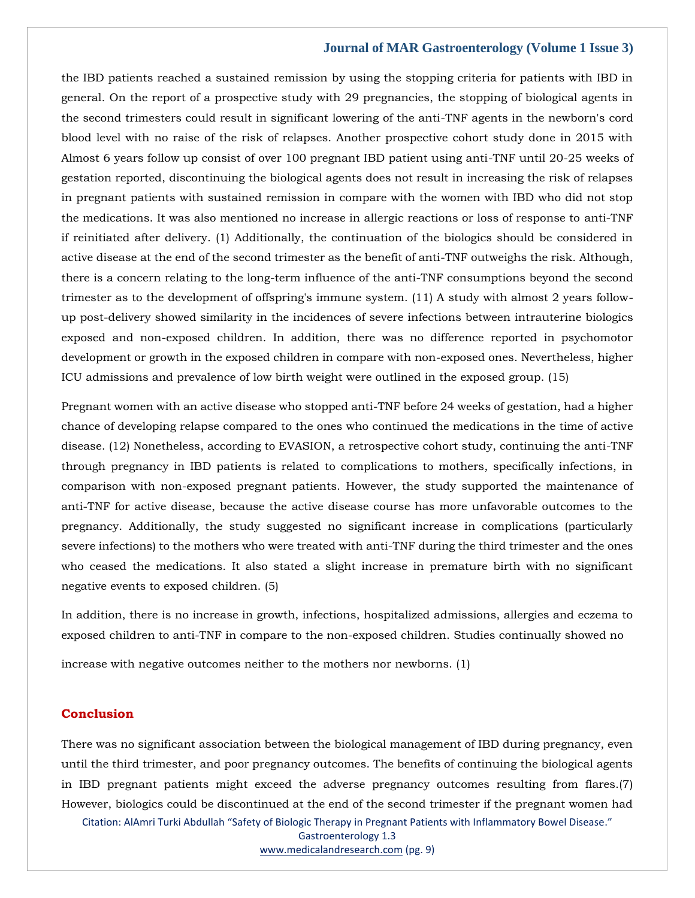the IBD patients reached a sustained remission by using the stopping criteria for patients with IBD in general. On the report of a prospective study with 29 pregnancies, the stopping of biological agents in the second trimesters could result in significant lowering of the anti-TNF agents in the newborn's cord blood level with no raise of the risk of relapses. Another prospective cohort study done in 2015 with Almost 6 years follow up consist of over 100 pregnant IBD patient using anti-TNF until 20-25 weeks of gestation reported, discontinuing the biological agents does not result in increasing the risk of relapses in pregnant patients with sustained remission in compare with the women with IBD who did not stop the medications. It was also mentioned no increase in allergic reactions or loss of response to anti-TNF if reinitiated after delivery. (1) Additionally, the continuation of the biologics should be considered in active disease at the end of the second trimester as the benefit of anti-TNF outweighs the risk. Although, there is a concern relating to the long-term influence of the anti-TNF consumptions beyond the second trimester as to the development of offspring's immune system. (11) A study with almost 2 years followup post-delivery showed similarity in the incidences of severe infections between intrauterine biologics exposed and non-exposed children. In addition, there was no difference reported in psychomotor development or growth in the exposed children in compare with non-exposed ones. Nevertheless, higher ICU admissions and prevalence of low birth weight were outlined in the exposed group. (15)

Pregnant women with an active disease who stopped anti-TNF before 24 weeks of gestation, had a higher chance of developing relapse compared to the ones who continued the medications in the time of active disease. (12) Nonetheless, according to EVASION, a retrospective cohort study, continuing the anti-TNF through pregnancy in IBD patients is related to complications to mothers, specifically infections, in comparison with non-exposed pregnant patients. However, the study supported the maintenance of anti-TNF for active disease, because the active disease course has more unfavorable outcomes to the pregnancy. Additionally, the study suggested no significant increase in complications (particularly severe infections) to the mothers who were treated with anti-TNF during the third trimester and the ones who ceased the medications. It also stated a slight increase in premature birth with no significant negative events to exposed children. (5)

In addition, there is no increase in growth, infections, hospitalized admissions, allergies and eczema to exposed children to anti-TNF in compare to the non-exposed children. Studies continually showed no

increase with negative outcomes neither to the mothers nor newborns. (1)

# **Conclusion**

Citation: AlAmri Turki Abdullah "Safety of Biologic Therapy in Pregnant Patients with Inflammatory Bowel Disease." There was no significant association between the biological management of IBD during pregnancy, even until the third trimester, and poor pregnancy outcomes. The benefits of continuing the biological agents in IBD pregnant patients might exceed the adverse pregnancy outcomes resulting from flares.(7) However, biologics could be discontinued at the end of the second trimester if the pregnant women had

Gastroenterology 1.3

[www.medicalandresearch.com](http://www.medicalandresearch.com/) (pg. 9)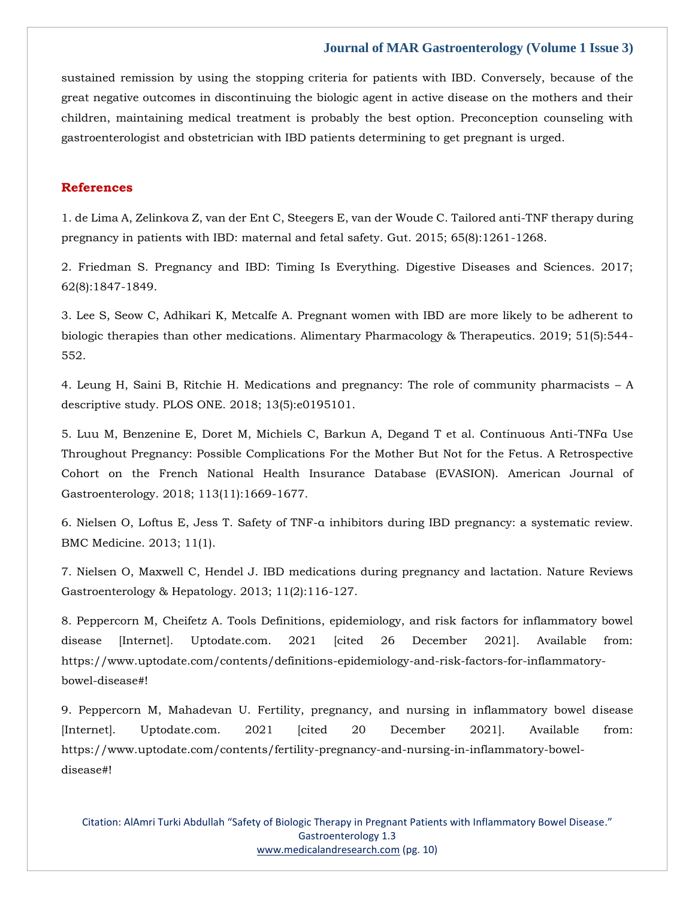sustained remission by using the stopping criteria for patients with IBD. Conversely, because of the great negative outcomes in discontinuing the biologic agent in active disease on the mothers and their children, maintaining medical treatment is probably the best option. Preconception counseling with gastroenterologist and obstetrician with IBD patients determining to get pregnant is urged.

# **References**

[1. de Lima A, Zelinkova Z, van der Ent C, Steegers E, van der Woude C. Tailored anti-TNF therapy during](https://www.google.com/search?q=.+Tailored+anti-TNF+therapy+during+pregnancy+in+patients+with+IBD%3A+maternal+and+fetal+safety&sxsrf=ALiCzsbHyhhGPJWgii1B2jhCmGJ-hcMy5Q%3A1651308144227&ei=cPZsYpHADd-MseMP34Wx2Aw&ved=0ahUKEwiRuOeasrv3AhVfRmwGHd9CDMsQ4dUDCA4&oq=.+Tailored+anti-TNF+therapy+during+pregnancy+in+patients+with+IBD%3A+maternal+and+fetal+safety&gs_lcp=Cgdnd3Mtd2l6EAw6BwgjEOoCECdKBAhBGABKBAhGGABQ7AFY7AFg0wZoAXAAeACAAWiIAWiSAQMwLjGYAQCgAQGgAQKwAQrAAQE&sclient=gws-wiz)  [pregnancy in patients with IBD: maternal and fetal safety. Gut. 2015; 65\(8\):1261-1268.](https://www.google.com/search?q=.+Tailored+anti-TNF+therapy+during+pregnancy+in+patients+with+IBD%3A+maternal+and+fetal+safety&sxsrf=ALiCzsbHyhhGPJWgii1B2jhCmGJ-hcMy5Q%3A1651308144227&ei=cPZsYpHADd-MseMP34Wx2Aw&ved=0ahUKEwiRuOeasrv3AhVfRmwGHd9CDMsQ4dUDCA4&oq=.+Tailored+anti-TNF+therapy+during+pregnancy+in+patients+with+IBD%3A+maternal+and+fetal+safety&gs_lcp=Cgdnd3Mtd2l6EAw6BwgjEOoCECdKBAhBGABKBAhGGABQ7AFY7AFg0wZoAXAAeACAAWiIAWiSAQMwLjGYAQCgAQGgAQKwAQrAAQE&sclient=gws-wiz)

[2. Friedman S. Pregnancy and IBD: Timing Is Everything. Digestive Diseases and Sciences. 2017;](https://www.google.com/search?q=Timing+Is+Everything.+Digestive+Diseases+and+Sciences&sxsrf=ALiCzsbh2zib7P1NZ7vWhP_fIvdLqiBBOw%3A1651310347153&ei=C_9sYvfeCLeNseMPrfSKsA4&ved=0ahUKEwi3kJ-1urv3AhW3RmwGHS26AuYQ4dUDCA4&oq=Timing+Is+Everything.+Digestive+Diseases+and+Sciences&gs_lcp=Cgdnd3Mtd2l6EAwyBQghEKABMgUIIRCgATIFCCEQoAE6BwgjEOoCECdKBAhBGABKBAhGGABQnwJYnwJg0AVoAXAAeACAAaMBiAGjAZIBAzAuMZgBAKABAaABArABCsABAQ&sclient=gws-wiz)  [62\(8\):1847-1849.](https://www.google.com/search?q=Timing+Is+Everything.+Digestive+Diseases+and+Sciences&sxsrf=ALiCzsbh2zib7P1NZ7vWhP_fIvdLqiBBOw%3A1651310347153&ei=C_9sYvfeCLeNseMPrfSKsA4&ved=0ahUKEwi3kJ-1urv3AhW3RmwGHS26AuYQ4dUDCA4&oq=Timing+Is+Everything.+Digestive+Diseases+and+Sciences&gs_lcp=Cgdnd3Mtd2l6EAwyBQghEKABMgUIIRCgATIFCCEQoAE6BwgjEOoCECdKBAhBGABKBAhGGABQnwJYnwJg0AVoAXAAeACAAaMBiAGjAZIBAzAuMZgBAKABAaABArABCsABAQ&sclient=gws-wiz) 

[3. Lee S, Seow C, Adhikari K, Metcalfe A. Pregnant women with IBD are more likely to be adherent to](https://www.google.com/search?q=Pregnant+women+with+IBD+are+more+likely+to+be+adherent+to+biologic+therapies+than+other+medications.+Alimentary+Pharmacology+%26+Therapeutics&sxsrf=ALiCzsYJ4iQSDsmjFfDMgp406P-iMPlXTA%3A1651310459161&ei=e_9sYqO3CdyMseMP9OWpyAE&ved=0ahUKEwjj4NPqurv3AhVcRmwGHfRyChkQ4dUDCA4&oq=Pregnant+women+with+IBD+are+more+likely+to+be+adherent+to+biologic+therapies+than+other+medications.+Alimentary+Pharmacology+%26+Therapeutics&gs_lcp=Cgdnd3Mtd2l6EAwyBwgjEOoCECcyBwgjEOoCECcyBwgjEOoCECcyBwgjEOoCECcyBwgjEOoCECcyBwgjEOoCECcyBwgjEOoCECcyBwgjEOoCECcyBwgjEOoCECcyBwgjEOoCECdKBAhBGABKBAhGGABQxgJYxgJgmwhoAXABeACAAQCIAQCSAQCYAQCgAQGgAQKwAQrAAQE&sclient=gws-wiz)  [biologic therapies than other medications. Alimentary Pharmacology & Therapeutics. 2019; 51\(5\):544-](https://www.google.com/search?q=Pregnant+women+with+IBD+are+more+likely+to+be+adherent+to+biologic+therapies+than+other+medications.+Alimentary+Pharmacology+%26+Therapeutics&sxsrf=ALiCzsYJ4iQSDsmjFfDMgp406P-iMPlXTA%3A1651310459161&ei=e_9sYqO3CdyMseMP9OWpyAE&ved=0ahUKEwjj4NPqurv3AhVcRmwGHfRyChkQ4dUDCA4&oq=Pregnant+women+with+IBD+are+more+likely+to+be+adherent+to+biologic+therapies+than+other+medications.+Alimentary+Pharmacology+%26+Therapeutics&gs_lcp=Cgdnd3Mtd2l6EAwyBwgjEOoCECcyBwgjEOoCECcyBwgjEOoCECcyBwgjEOoCECcyBwgjEOoCECcyBwgjEOoCECcyBwgjEOoCECcyBwgjEOoCECcyBwgjEOoCECcyBwgjEOoCECdKBAhBGABKBAhGGABQxgJYxgJgmwhoAXABeACAAQCIAQCSAQCYAQCgAQGgAQKwAQrAAQE&sclient=gws-wiz) [552.](https://www.google.com/search?q=Pregnant+women+with+IBD+are+more+likely+to+be+adherent+to+biologic+therapies+than+other+medications.+Alimentary+Pharmacology+%26+Therapeutics&sxsrf=ALiCzsYJ4iQSDsmjFfDMgp406P-iMPlXTA%3A1651310459161&ei=e_9sYqO3CdyMseMP9OWpyAE&ved=0ahUKEwjj4NPqurv3AhVcRmwGHfRyChkQ4dUDCA4&oq=Pregnant+women+with+IBD+are+more+likely+to+be+adherent+to+biologic+therapies+than+other+medications.+Alimentary+Pharmacology+%26+Therapeutics&gs_lcp=Cgdnd3Mtd2l6EAwyBwgjEOoCECcyBwgjEOoCECcyBwgjEOoCECcyBwgjEOoCECcyBwgjEOoCECcyBwgjEOoCECcyBwgjEOoCECcyBwgjEOoCECcyBwgjEOoCECcyBwgjEOoCECdKBAhBGABKBAhGGABQxgJYxgJgmwhoAXABeACAAQCIAQCSAQCYAQCgAQGgAQKwAQrAAQE&sclient=gws-wiz) 

[4. Leung H, Saini B, Ritchie H. Medications and pregnancy: The role of community pharmacists](https://www.google.com/search?q=Medications+and+pregnancy%3A+The+role+of+community+pharmacists+%E2%80%93+A+descriptive+study.+&sxsrf=ALiCzsbFAy2LpiAYexTzlKWJRxeArscE_g%3A1651310472841&ei=iP9sYq_5MpOcseMP7b6u0Aw&ved=0ahUKEwiv3Zbxurv3AhUTTmwGHW2fC8oQ4dUDCA4&oq=Medications+and+pregnancy%3A+The+role+of+community+pharmacists+%E2%80%93+A+descriptive+study.+&gs_lcp=Cgdnd3Mtd2l6EAw6BwgjEOoCECdKBAhBGABKBAhGGABQ6QJY6QJgjAZoAXAAeACAAW6IAW6SAQMwLjGYAQCgAQGgAQKwAQrAAQE&sclient=gws-wiz) – A [descriptive study. PLOS ONE. 2018; 13\(5\):e0195101.](https://www.google.com/search?q=Medications+and+pregnancy%3A+The+role+of+community+pharmacists+%E2%80%93+A+descriptive+study.+&sxsrf=ALiCzsbFAy2LpiAYexTzlKWJRxeArscE_g%3A1651310472841&ei=iP9sYq_5MpOcseMP7b6u0Aw&ved=0ahUKEwiv3Zbxurv3AhUTTmwGHW2fC8oQ4dUDCA4&oq=Medications+and+pregnancy%3A+The+role+of+community+pharmacists+%E2%80%93+A+descriptive+study.+&gs_lcp=Cgdnd3Mtd2l6EAw6BwgjEOoCECdKBAhBGABKBAhGGABQ6QJY6QJgjAZoAXAAeACAAW6IAW6SAQMwLjGYAQCgAQGgAQKwAQrAAQE&sclient=gws-wiz) 

[5. Luu M, Benzenine E, Doret M, Michiels C, Barkun A, Degand T et al. Continuous Anti-](https://www.google.com/search?q=Continuous+Anti-TNF%CE%B1+Use+Throughout+Pregnancy%3A+Possible+Complications+For+the+Mother+But+Not+for+the+Fetus&sxsrf=ALiCzsaTzS3m0ywJXCOyUuIxyk70WAFlCA%3A1651310486559&ei=lv9sYu_oIaycseMPibG-0AU&ved=0ahUKEwjvi9z3urv3AhUsTmwGHYmYD1oQ4dUDCA4&oq=Continuous+Anti-TNF%CE%B1+Use+Throughout+Pregnancy%3A+Possible+Complications+For+the+Mother+But+Not+for+the+Fetus&gs_lcp=Cgdnd3Mtd2l6EAwyBwgjEOoCECcyBwgjEOoCECcyBwgjEOoCECcyBwgjEOoCECcyBwgjEOoCECcyBwgjEOoCECcyBwgjEOoCECcyBwgjEOoCECcyBwgjEOoCECcyBwgjEOoCECdKBAhBGABKBAhGGABQ6QJY6QJgvAdoAXABeACAAQCIAQCSAQCYAQCgAQGgAQKwAQrAAQE&sclient=gws-wiz)TNFα Use [Throughout Pregnancy: Possible Complications For the Mother But Not for the Fetus. A Retrospective](https://www.google.com/search?q=Continuous+Anti-TNF%CE%B1+Use+Throughout+Pregnancy%3A+Possible+Complications+For+the+Mother+But+Not+for+the+Fetus&sxsrf=ALiCzsaTzS3m0ywJXCOyUuIxyk70WAFlCA%3A1651310486559&ei=lv9sYu_oIaycseMPibG-0AU&ved=0ahUKEwjvi9z3urv3AhUsTmwGHYmYD1oQ4dUDCA4&oq=Continuous+Anti-TNF%CE%B1+Use+Throughout+Pregnancy%3A+Possible+Complications+For+the+Mother+But+Not+for+the+Fetus&gs_lcp=Cgdnd3Mtd2l6EAwyBwgjEOoCECcyBwgjEOoCECcyBwgjEOoCECcyBwgjEOoCECcyBwgjEOoCECcyBwgjEOoCECcyBwgjEOoCECcyBwgjEOoCECcyBwgjEOoCECcyBwgjEOoCECdKBAhBGABKBAhGGABQ6QJY6QJgvAdoAXABeACAAQCIAQCSAQCYAQCgAQGgAQKwAQrAAQE&sclient=gws-wiz)  [Cohort on the French National Health Insurance Database \(EVASION\). American Journal of](https://www.google.com/search?q=Continuous+Anti-TNF%CE%B1+Use+Throughout+Pregnancy%3A+Possible+Complications+For+the+Mother+But+Not+for+the+Fetus&sxsrf=ALiCzsaTzS3m0ywJXCOyUuIxyk70WAFlCA%3A1651310486559&ei=lv9sYu_oIaycseMPibG-0AU&ved=0ahUKEwjvi9z3urv3AhUsTmwGHYmYD1oQ4dUDCA4&oq=Continuous+Anti-TNF%CE%B1+Use+Throughout+Pregnancy%3A+Possible+Complications+For+the+Mother+But+Not+for+the+Fetus&gs_lcp=Cgdnd3Mtd2l6EAwyBwgjEOoCECcyBwgjEOoCECcyBwgjEOoCECcyBwgjEOoCECcyBwgjEOoCECcyBwgjEOoCECcyBwgjEOoCECcyBwgjEOoCECcyBwgjEOoCECcyBwgjEOoCECdKBAhBGABKBAhGGABQ6QJY6QJgvAdoAXABeACAAQCIAQCSAQCYAQCgAQGgAQKwAQrAAQE&sclient=gws-wiz)  [Gastroenterology. 2018; 113\(11\):1669-1677.](https://www.google.com/search?q=Continuous+Anti-TNF%CE%B1+Use+Throughout+Pregnancy%3A+Possible+Complications+For+the+Mother+But+Not+for+the+Fetus&sxsrf=ALiCzsaTzS3m0ywJXCOyUuIxyk70WAFlCA%3A1651310486559&ei=lv9sYu_oIaycseMPibG-0AU&ved=0ahUKEwjvi9z3urv3AhUsTmwGHYmYD1oQ4dUDCA4&oq=Continuous+Anti-TNF%CE%B1+Use+Throughout+Pregnancy%3A+Possible+Complications+For+the+Mother+But+Not+for+the+Fetus&gs_lcp=Cgdnd3Mtd2l6EAwyBwgjEOoCECcyBwgjEOoCECcyBwgjEOoCECcyBwgjEOoCECcyBwgjEOoCECcyBwgjEOoCECcyBwgjEOoCECcyBwgjEOoCECcyBwgjEOoCECcyBwgjEOoCECdKBAhBGABKBAhGGABQ6QJY6QJgvAdoAXABeACAAQCIAQCSAQCYAQCgAQGgAQKwAQrAAQE&sclient=gws-wiz) 

6. Nielsen O, Loftus E, Jess T. Safety of TNF-[α inhibitors during IBD pregnancy: a systematic review.](https://www.google.com/search?q=Safety+of+TNF-%CE%B1+inhibitors+during+IBD+pregnancy%3A+a+systematic+review&sxsrf=ALiCzsa5c5wk85lF03JU8OXhxwogXIowIw%3A1651310507193&ei=q_9sYriuC9qOseMPpcyywAU&ved=0ahUKEwj4r8eBu7v3AhVaR2wGHSWmDFgQ4dUDCA4&oq=Safety+of+TNF-%CE%B1+inhibitors+during+IBD+pregnancy%3A+a+systematic+review&gs_lcp=Cgdnd3Mtd2l6EAw6BwgjEOoCECdKBAhBGABKBAhGGABQ8wFY8wFghQVoAXAAeACAAWiIAWiSAQMwLjGYAQCgAQGgAQKwAQrAAQE&sclient=gws-wiz)  [BMC Medicine. 2013; 11\(1\).](https://www.google.com/search?q=Safety+of+TNF-%CE%B1+inhibitors+during+IBD+pregnancy%3A+a+systematic+review&sxsrf=ALiCzsa5c5wk85lF03JU8OXhxwogXIowIw%3A1651310507193&ei=q_9sYriuC9qOseMPpcyywAU&ved=0ahUKEwj4r8eBu7v3AhVaR2wGHSWmDFgQ4dUDCA4&oq=Safety+of+TNF-%CE%B1+inhibitors+during+IBD+pregnancy%3A+a+systematic+review&gs_lcp=Cgdnd3Mtd2l6EAw6BwgjEOoCECdKBAhBGABKBAhGGABQ8wFY8wFghQVoAXAAeACAAWiIAWiSAQMwLjGYAQCgAQGgAQKwAQrAAQE&sclient=gws-wiz) 

[7. Nielsen O, Maxwell C, Hendel J. IBD medications during pregnancy and lactation. Nature Reviews](https://www.google.com/search?q=Safety+of+TNF-%CE%B1+inhibitors+during+IBD+pregnancy%3A+a+systematic+review&sxsrf=ALiCzsa5c5wk85lF03JU8OXhxwogXIowIw%3A1651310507193&ei=q_9sYriuC9qOseMPpcyywAU&ved=0ahUKEwj4r8eBu7v3AhVaR2wGHSWmDFgQ4dUDCA4&oq=Safety+of+TNF-%CE%B1+inhibitors+during+IBD+pregnancy%3A+a+systematic+review&gs_lcp=Cgdnd3Mtd2l6EAw6BwgjEOoCECdKBAhBGABKBAhGGABQ8wFY8wFghQVoAXAAeACAAWiIAWiSAQMwLjGYAQCgAQGgAQKwAQrAAQE&sclient=gws-wiz)  [Gastroenterology & Hepatology. 2013; 11\(2\):116-127.](https://www.google.com/search?q=Safety+of+TNF-%CE%B1+inhibitors+during+IBD+pregnancy%3A+a+systematic+review&sxsrf=ALiCzsa5c5wk85lF03JU8OXhxwogXIowIw%3A1651310507193&ei=q_9sYriuC9qOseMPpcyywAU&ved=0ahUKEwj4r8eBu7v3AhVaR2wGHSWmDFgQ4dUDCA4&oq=Safety+of+TNF-%CE%B1+inhibitors+during+IBD+pregnancy%3A+a+systematic+review&gs_lcp=Cgdnd3Mtd2l6EAw6BwgjEOoCECdKBAhBGABKBAhGGABQ8wFY8wFghQVoAXAAeACAAWiIAWiSAQMwLjGYAQCgAQGgAQKwAQrAAQE&sclient=gws-wiz) 

[8. Peppercorn M, Cheifetz A. Tools Definitions, epidemiology, and risk factors for inflammatory bowel](file:///C:/Users/Arief%20Mahimudh/Desktop/April/8.%20Peppercorn%20M,%20Cheifetz%20A.%20Tools%20Definitions,%20epidemiology,%20and%20risk%20factors%20for%20inflammatory%20bowel%20disease%20%5bInternet%5d.%20Uptodate.com.%202021%20%5bcited%2026%20December%202021%5d.%20Available%20from:%20https:/www.uptodate.com/contents/definitions-epidemiology-and-risk-factors-for-inflammatory-bowel-disease#!)  [disease \[Internet\]. Uptodate.com. 2021 \[cited 26 December 2021\]. Available from:](file:///C:/Users/Arief%20Mahimudh/Desktop/April/8.%20Peppercorn%20M,%20Cheifetz%20A.%20Tools%20Definitions,%20epidemiology,%20and%20risk%20factors%20for%20inflammatory%20bowel%20disease%20%5bInternet%5d.%20Uptodate.com.%202021%20%5bcited%2026%20December%202021%5d.%20Available%20from:%20https:/www.uptodate.com/contents/definitions-epidemiology-and-risk-factors-for-inflammatory-bowel-disease#!)  [https://www.uptodate.com/contents/definitions-epidemiology-and-risk-factors-for-inflammatory](file:///C:/Users/Arief%20Mahimudh/Desktop/April/8.%20Peppercorn%20M,%20Cheifetz%20A.%20Tools%20Definitions,%20epidemiology,%20and%20risk%20factors%20for%20inflammatory%20bowel%20disease%20%5bInternet%5d.%20Uptodate.com.%202021%20%5bcited%2026%20December%202021%5d.%20Available%20from:%20https:/www.uptodate.com/contents/definitions-epidemiology-and-risk-factors-for-inflammatory-bowel-disease#!)[bowel-disease#!](file:///C:/Users/Arief%20Mahimudh/Desktop/April/8.%20Peppercorn%20M,%20Cheifetz%20A.%20Tools%20Definitions,%20epidemiology,%20and%20risk%20factors%20for%20inflammatory%20bowel%20disease%20%5bInternet%5d.%20Uptodate.com.%202021%20%5bcited%2026%20December%202021%5d.%20Available%20from:%20https:/www.uptodate.com/contents/definitions-epidemiology-and-risk-factors-for-inflammatory-bowel-disease#!) 

[9. Peppercorn M, Mahadevan U. Fertility, pregnancy, and nursing in inflammatory bowel disease](file:///C:/Users/Arief%20Mahimudh/Desktop/April/9.%20Peppercorn%20M,%20Mahadevan%20U.%20Fertility,%20pregnancy,%20and%20nursing%20in%20inflammatory%20bowel%20disease%20%5bInternet%5d.%20Uptodate.com.%202021%20%5bcited%2020%20December%202021%5d.%20Available%20from:%20https:/www.uptodate.com/contents/fertility-pregnancy-and-nursing-in-inflammatory-bowel-disease#!)  [\[Internet\]. Uptodate.com. 2021 \[cited 20 December 2021\]. Available from:](file:///C:/Users/Arief%20Mahimudh/Desktop/April/9.%20Peppercorn%20M,%20Mahadevan%20U.%20Fertility,%20pregnancy,%20and%20nursing%20in%20inflammatory%20bowel%20disease%20%5bInternet%5d.%20Uptodate.com.%202021%20%5bcited%2020%20December%202021%5d.%20Available%20from:%20https:/www.uptodate.com/contents/fertility-pregnancy-and-nursing-in-inflammatory-bowel-disease#!)  [https://www.uptodate.com/contents/fertility-pregnancy-and-nursing-in-inflammatory-bowel](file:///C:/Users/Arief%20Mahimudh/Desktop/April/9.%20Peppercorn%20M,%20Mahadevan%20U.%20Fertility,%20pregnancy,%20and%20nursing%20in%20inflammatory%20bowel%20disease%20%5bInternet%5d.%20Uptodate.com.%202021%20%5bcited%2020%20December%202021%5d.%20Available%20from:%20https:/www.uptodate.com/contents/fertility-pregnancy-and-nursing-in-inflammatory-bowel-disease#!)[disease#!](file:///C:/Users/Arief%20Mahimudh/Desktop/April/9.%20Peppercorn%20M,%20Mahadevan%20U.%20Fertility,%20pregnancy,%20and%20nursing%20in%20inflammatory%20bowel%20disease%20%5bInternet%5d.%20Uptodate.com.%202021%20%5bcited%2020%20December%202021%5d.%20Available%20from:%20https:/www.uptodate.com/contents/fertility-pregnancy-and-nursing-in-inflammatory-bowel-disease#!)

Citation: AlAmri Turki Abdullah "Safety of Biologic Therapy in Pregnant Patients with Inflammatory Bowel Disease." Gastroenterology 1.3 [www.medicalandresearch.com](http://www.medicalandresearch.com/) (pg. 10)